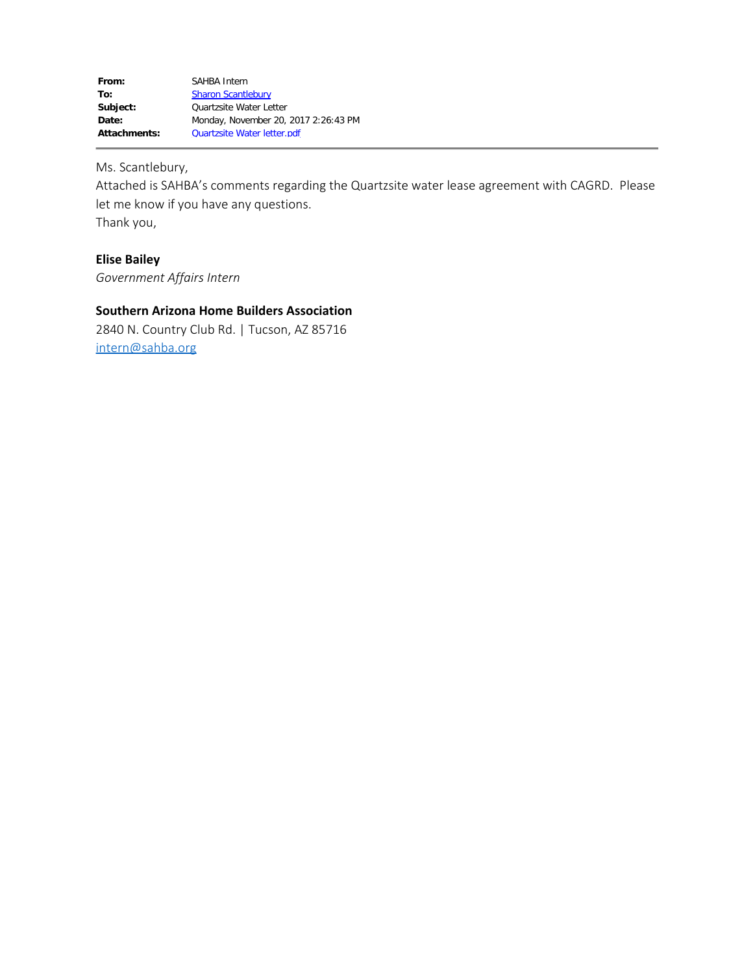Ms. Scantlebury,

Attached is SAHBA's comments regarding the Quartzsite water lease agreement with CAGRD. Please let me know if you have any questions. Thank you,

## **Elise Bailey**

*Government Affairs Intern*

#### **Southern Arizona Home Builders Association**

2840 N. Country Club Rd. | Tucson, AZ 85716 [intern@sahba.org](mailto:intern@sahba.org)